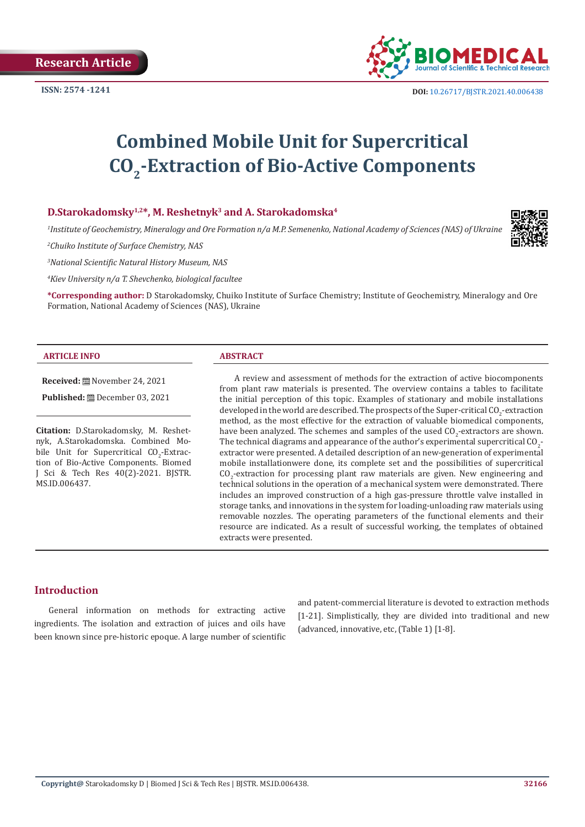

# **Combined Mobile Unit for Supercritical CO2-Extraction of Bio-Active Components**

## **D.Starokadomsky1,2\*, М. Reshetnyk3 and A. Starokadomska4**

*1 Institute of Geochemistry, Mineralogy and Ore Formation n/a M.P. Semenenko, National Academy of Sciences (NAS) of Ukraine*

*2 Chuiko Institute of Surface Chemistry, NAS* 

*3 National Scientific Natural History Museum, NAS*

*4 Kiev University n/a T. Shevchenko, biological facultee*

**\*Corresponding author:** D Starokadomsky, Chuiko Institute of Surface Chemistry; Institute of Geochemistry, Mineralogy and Ore Formation, National Academy of Sciences (NAS), Ukraine

#### **ARTICLE INFO ABSTRACT**

**Received:** November 24, 2021

**Published:** December 03, 2021

**Citation:** D.Starokadomsky, М. Reshetnyk, A.Starokadomska. Combined Mobile Unit for Supercritical  $CO<sub>2</sub>$ -Extraction of Bio-Active Components. Biomed J Sci & Tech Res 40(2)-2021. BJSTR. MS.ID.006437.

A review and assessment of methods for the extraction of active biocomponents from plant raw materials is presented. The overview contains a tables to facilitate the initial perception of this topic. Examples of stationary and mobile installations developed in the world are described. The prospects of the Super-critical  $CO_2$ -extraction method, as the most effective for the extraction of valuable biomedical components, have been analyzed. The schemes and samples of the used  $CO_2$ -extractors are shown. The technical diagrams and appearance of the author's experimental supercritical CO<sub>2</sub>. extractor were presented. A detailed description of an new-generation of experimental mobile installationwere done, its complete set and the possibilities of supercritical  $CO<sub>2</sub>$ -extraction for processing plant raw materials are given. New engineering and technical solutions in the operation of a mechanical system were demonstrated. There includes an improved construction of a high gas-pressure throttle valve installed in storage tanks, and innovations in the system for loading-unloading raw materials using removable nozzles. The operating parameters of the functional elements and their resource are indicated. As a result of successful working, the templates of obtained extracts were presented.

## **Introduction**

General information on methods for extracting active ingredients. The isolation and extraction of juices and oils have been known since pre-historic epoque. A large number of scientific and patent-commercial literature is devoted to extraction methods [1-21]. Simplistically, they are divided into traditional and new (advanced, innovative, etc, (Table 1) [1-8].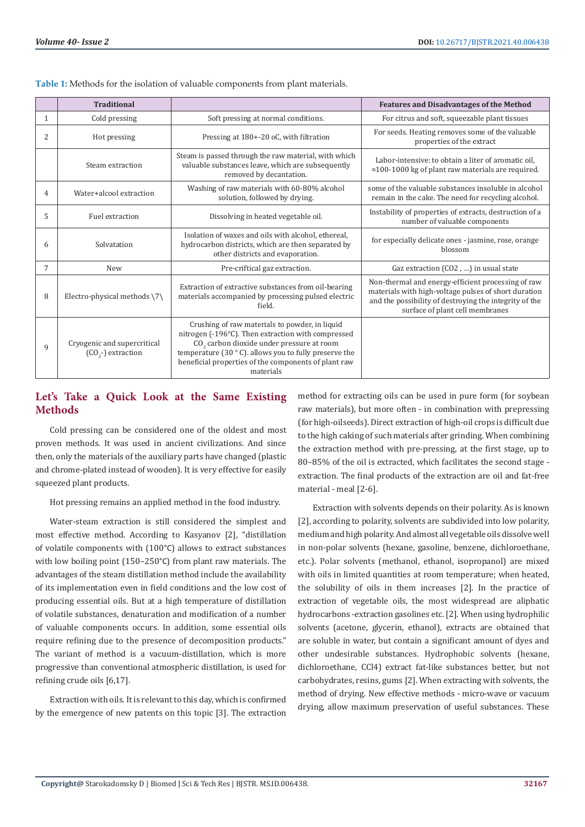|                | <b>Traditional</b>                                  |                                                                                                                                                                                                                                                                                                      | <b>Features and Disadvantages of the Method</b>                                                                                                                                                         |
|----------------|-----------------------------------------------------|------------------------------------------------------------------------------------------------------------------------------------------------------------------------------------------------------------------------------------------------------------------------------------------------------|---------------------------------------------------------------------------------------------------------------------------------------------------------------------------------------------------------|
| 1              | Cold pressing                                       | Soft pressing at normal conditions.                                                                                                                                                                                                                                                                  | For citrus and soft, squeezable plant tissues                                                                                                                                                           |
| $\overline{2}$ | Hot pressing                                        | Pressing at 180+-20 oC, with filtration                                                                                                                                                                                                                                                              | For seeds. Heating removes some of the valuable<br>properties of the extract                                                                                                                            |
|                | Steam extraction                                    | Steam is passed through the raw material, with which<br>valuable substances leave, which are subsequently<br>removed by decantation.                                                                                                                                                                 | Labor-intensive: to obtain a liter of aromatic oil.<br>$\approx$ 100-1000 kg of plant raw materials are required.                                                                                       |
| 4              | Water+alcool extraction                             | Washing of raw materials with 60-80% alcohol<br>solution, followed by drying.                                                                                                                                                                                                                        | some of the valuable substances insoluble in alcohol<br>remain in the cake. The need for recycling alcohol.                                                                                             |
| 5              | Fuel extraction                                     | Dissolving in heated vegetable oil.                                                                                                                                                                                                                                                                  | Instability of properties of extracts, destruction of a<br>number of valuable components                                                                                                                |
| 6              | Solvatation                                         | Isolation of waxes and oils with alcohol, ethereal,<br>hydrocarbon districts, which are then separated by<br>other districts and evaporation.                                                                                                                                                        | for especially delicate ones - jasmine, rose, orange<br>blossom                                                                                                                                         |
| 7              | <b>New</b>                                          | Pre-criftical gaz extraction.                                                                                                                                                                                                                                                                        | Gaz extraction (CO2, ) in usual state                                                                                                                                                                   |
| 8              | Electro-physical methods $\langle 7 \rangle$        | Extraction of extractive substances from oil-bearing<br>materials accompanied by processing pulsed electric<br>field.                                                                                                                                                                                | Non-thermal and energy-efficient processing of raw<br>materials with high-voltage pulses of short duration<br>and the possibility of destroying the integrity of the<br>surface of plant cell membranes |
| 9              | Cryogenic and supercritical<br>$(CO2$ -) extraction | Crushing of raw materials to powder, in liquid<br>nitrogen (-196°C). Then extraction with compressed<br>CO <sub>2</sub> carbon dioxide under pressure at room<br>temperature (30 $\degree$ C). allows you to fully preserve the<br>beneficial properties of the components of plant raw<br>materials |                                                                                                                                                                                                         |

**Table 1:** Methods for the isolation of valuable components from plant materials.

# **Let's Take a Quick Look at the Same Existing Methods**

Cold pressing can be considered one of the oldest and most proven methods. It was used in ancient civilizations. And since then, only the materials of the auxiliary parts have changed (plastic and chrome-plated instead of wooden). It is very effective for easily squeezed plant products.

Hot pressing remains an applied method in the food industry.

Water-steam extraction is still considered the simplest and most effective method. According to Kasyanov [2], "distillation of volatile components with (100°C) allows to extract substances with low boiling point (150–250°C) from plant raw materials. The advantages of the steam distillation method include the availability of its implementation even in field conditions and the low cost of producing essential oils. But at a high temperature of distillation of volatile substances, denaturation and modification of a number of valuable components occurs. In addition, some essential oils require refining due to the presence of decomposition products." The variant of method is a vacuum-distillation, which is more progressive than conventional atmospheric distillation, is used for refining crude oils [6,17].

Extraction with oils. It is relevant to this day, which is confirmed by the emergence of new patents on this topic [3]. The extraction method for extracting oils can be used in pure form (for soybean raw materials), but more often - in combination with prepressing (for high-oilseeds). Direct extraction of high-oil crops is difficult due to the high caking of such materials after grinding. When combining the extraction method with pre-pressing, at the first stage, up to 80–85% of the oil is extracted, which facilitates the second stage extraction. The final products of the extraction are oil and fat-free material - meal [2-6].

Extraction with solvents depends on their polarity. As is known [2], according to polarity, solvents are subdivided into low polarity, medium and high polarity. And almost all vegetable oils dissolve well in non-polar solvents (hexane, gasoline, benzene, dichloroethane, etc.). Polar solvents (methanol, ethanol, isopropanol) are mixed with oils in limited quantities at room temperature; when heated, the solubility of oils in them increases [2]. In the practice of extraction of vegetable oils, the most widespread are aliphatic hydrocarbons -extraction gasolines etc. [2]. When using hydrophilic solvents (acetone, glycerin, ethanol), extracts are obtained that are soluble in water, but contain a significant amount of dyes and other undesirable substances. Hydrophobic solvents (hexane, dichloroethane, СCl4) extract fat-like substances better, but not carbohydrates, resins, gums [2]. When extracting with solvents, the method of drying. New effective methods - micro-wave or vacuum drying, allow maximum preservation of useful substances. These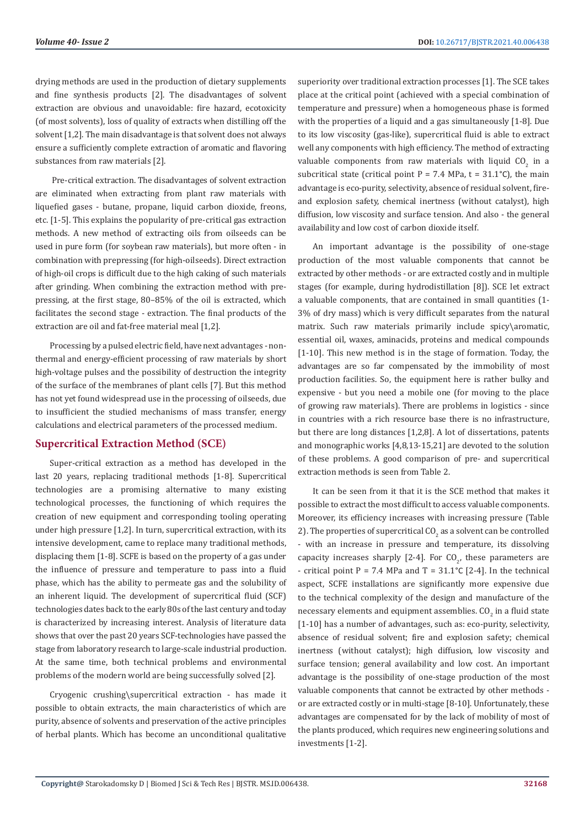drying methods are used in the production of dietary supplements and fine synthesis products [2]. The disadvantages of solvent extraction are obvious and unavoidable: fire hazard, ecotoxicity (of most solvents), loss of quality of extracts when distilling off the solvent [1,2]. The main disadvantage is that solvent does not always ensure a sufficiently complete extraction of aromatic and flavoring substances from raw materials [2].

 Pre-critical extraction. The disadvantages of solvent extraction are eliminated when extracting from plant raw materials with liquefied gases - butane, propane, liquid carbon dioxide, freons, etc. [1-5]. This explains the popularity of pre-critical gas extraction methods. A new method of extracting oils from oilseeds can be used in pure form (for soybean raw materials), but more often - in combination with prepressing (for high-oilseeds). Direct extraction of high-oil crops is difficult due to the high caking of such materials after grinding. When combining the extraction method with prepressing, at the first stage, 80–85% of the oil is extracted, which facilitates the second stage - extraction. The final products of the extraction are oil and fat-free material meal [1,2].

Processing by a pulsed electric field, have next advantages - nonthermal and energy-efficient processing of raw materials by short high-voltage pulses and the possibility of destruction the integrity of the surface of the membranes of plant cells [7]. But this method has not yet found widespread use in the processing of oilseeds, due to insufficient the studied mechanisms of mass transfer, energy calculations and electrical parameters of the processed medium.

## **Supercritical Extraction Method (SCE)**

Super-critical extraction as a method has developed in the last 20 years, replacing traditional methods [1-8]. Supercritical technologies are a promising alternative to many existing technological processes, the functioning of which requires the creation of new equipment and corresponding tooling operating under high pressure [1,2]. In turn, supercritical extraction, with its intensive development, came to replace many traditional methods, displacing them [1-8]. SCFE is based on the property of a gas under the influence of pressure and temperature to pass into a fluid phase, which has the ability to permeate gas and the solubility of an inherent liquid. The development of supercritical fluid (SCF) technologies dates back to the early 80s of the last century and today is characterized by increasing interest. Analysis of literature data shows that over the past 20 years SCF-technologies have passed the stage from laboratory research to large-scale industrial production. At the same time, both technical problems and environmental problems of the modern world are being successfully solved [2].

Cryogenic crushing\supercritical extraction - has made it possible to obtain extracts, the main characteristics of which are purity, absence of solvents and preservation of the active principles of herbal plants. Which has become an unconditional qualitative

superiority over traditional extraction processes [1]. The SCE takes place at the critical point (achieved with a special combination of temperature and pressure) when a homogeneous phase is formed with the properties of a liquid and a gas simultaneously [1-8]. Due to its low viscosity (gas-like), supercritical fluid is able to extract well any components with high efficiency. The method of extracting valuable components from raw materials with liquid  $\mathsf{CO}_2$  in a subcritical state (critical point  $P = 7.4$  MPa,  $t = 31.1^{\circ}C$ ), the main advantage is eco-purity, selectivity, absence of residual solvent, fireand explosion safety, chemical inertness (without catalyst), high diffusion, low viscosity and surface tension. And also - the general availability and low cost of carbon dioxide itself.

An important advantage is the possibility of one-stage production of the most valuable components that cannot be extracted by other methods - or are extracted costly and in multiple stages (for example, during hydrodistillation [8]). SCE let extract a valuable components, that are contained in small quantities (1- 3% of dry mass) which is very difficult separates from the natural matrix. Such raw materials primarily include spicy\aromatic, essential oil, waxes, aminacids, proteins and medical compounds [1-10]. This new method is in the stage of formation. Today, the advantages are so far compensated by the immobility of most production facilities. So, the equipment here is rather bulky and expensive - but you need a mobile one (for moving to the place of growing raw materials). There are problems in logistics - since in countries with a rich resource base there is no infrastructure, but there are long distances [1,2,8]. A lot of dissertations, patents and monographic works [4,8,13-15,21] are devoted to the solution of these problems. A good comparison of pre- and supercritical extraction methods is seen from Table 2.

It can be seen from it that it is the SCE method that makes it possible to extract the most difficult to access valuable components. Moreover, its efficiency increases with increasing pressure (Table 2). The properties of supercritical  $\mathrm{CO}_2$  as a solvent can be controlled - with an increase in pressure and temperature, its dissolving capacity increases sharply  $[2-4]$ . For  $CO_{2}$ , these parameters are - critical point  $P = 7.4$  MPa and  $T = 31.1^{\circ}C$  [2-4]. In the technical aspect, SCFE installations are significantly more expensive due to the technical complexity of the design and manufacture of the necessary elements and equipment assemblies. CO<sub>2</sub> in a fluid state [1-10] has a number of advantages, such as: eco-purity, selectivity, absence of residual solvent; fire and explosion safety; chemical inertness (without catalyst); high diffusion, low viscosity and surface tension; general availability and low cost. An important advantage is the possibility of one-stage production of the most valuable components that cannot be extracted by other methods or are extracted costly or in multi-stage [8-10]. Unfortunately, these advantages are compensated for by the lack of mobility of most of the plants produced, which requires new engineering solutions and investments [1-2].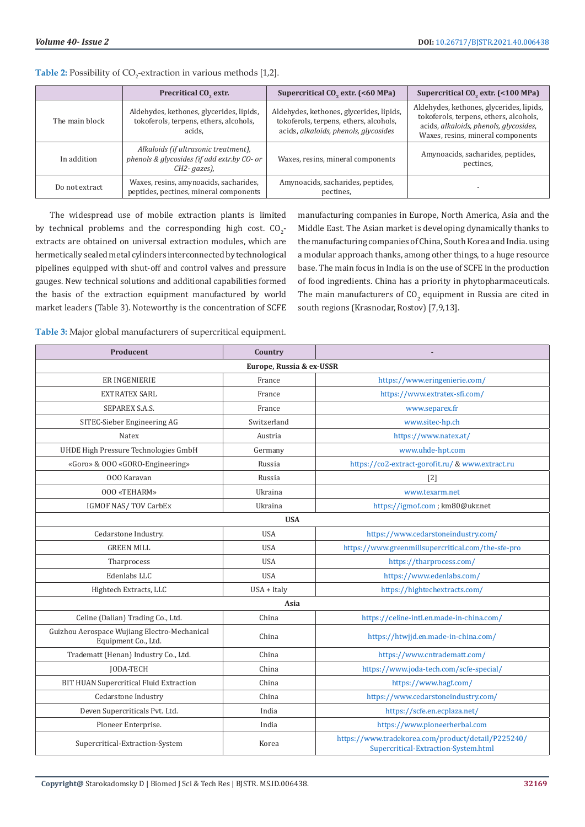|                | Precritical CO <sub>2</sub> extr.                                                                  | Supercritical CO <sub>2</sub> extr. (<60 MPa)                                                                               | Supercritical CO <sub>2</sub> extr. (<100 MPa)                                                                                                                    |  |  |  |
|----------------|----------------------------------------------------------------------------------------------------|-----------------------------------------------------------------------------------------------------------------------------|-------------------------------------------------------------------------------------------------------------------------------------------------------------------|--|--|--|
| The main block | Aldehydes, kethones, glycerides, lipids,<br>tokoferols, terpens, ethers, alcohols,<br>acids.       | Aldehydes, kethones, glycerides, lipids,<br>tokoferols, terpens, ethers, alcohols,<br>acids, alkaloids, phenols, glycosides | Aldehydes, kethones, glycerides, lipids,<br>tokoferols, terpens, ethers, alcohols,<br>acids, alkaloids, phenols, glycosides,<br>Waxes, resins, mineral components |  |  |  |
| In addition    | Alkaloids (if ultrasonic treatment),<br>phenols & glycosides (if add extr.by CO- or<br>CH2-gazes), | Waxes, resins, mineral components                                                                                           | Amynoacids, sacharides, peptides,<br>pectines,                                                                                                                    |  |  |  |
| Do not extract | Waxes, resins, amynoacids, sacharides,<br>peptides, pectines, mineral components                   | Amynoacids, sacharides, peptides,<br>pectines.                                                                              |                                                                                                                                                                   |  |  |  |

**Table 2:** Possibility of CO<sub>2</sub>-extraction in various methods [1,2].

The widespread use of mobile extraction plants is limited by technical problems and the corresponding high cost.  $CO_2$ extracts are obtained on universal extraction modules, which are hermetically sealed metal cylinders interconnected by technological pipelines equipped with shut-off and control valves and pressure gauges. New technical solutions and additional capabilities formed the basis of the extraction equipment manufactured by world market leaders (Table 3). Noteworthy is the concentration of SCFE

manufacturing companies in Europe, North America, Asia and the Middle East. The Asian market is developing dynamically thanks to the manufacturing companies of China, South Korea and India. using a modular approach thanks, among other things, to a huge resource base. The main focus in India is on the use of SCFE in the production of food ingredients. China has a priority in phytopharmaceuticals. The main manufacturers of  $CO_2$  equipment in Russia are cited in south regions (Krasnodar, Rostov) [7,9,13].

**Table 3:** Major global manufacturers of supercritical equipment.

| Producent                                                           | Country     |                                                                                            |  |  |  |  |
|---------------------------------------------------------------------|-------------|--------------------------------------------------------------------------------------------|--|--|--|--|
| Europe, Russia & ex-USSR                                            |             |                                                                                            |  |  |  |  |
| <b>ER INGENIERIE</b>                                                | France      | https://www.eringenierie.com/                                                              |  |  |  |  |
| <b>EXTRATEX SARL</b>                                                | France      | https://www.extratex-sfi.com/                                                              |  |  |  |  |
| SEPAREX S.A.S.                                                      | France      | www.separex.fr                                                                             |  |  |  |  |
| SITEC-Sieber Engineering AG                                         | Switzerland | www.sitec-hp.ch                                                                            |  |  |  |  |
| <b>Natex</b>                                                        | Austria     | https://www.natex.at/                                                                      |  |  |  |  |
| UHDE High Pressure Technologies GmbH                                | Germany     | www.uhde-hpt.com                                                                           |  |  |  |  |
| «Goro» & OOO «GORO-Engineering»                                     | Russia      | https://co2-extract-gorofit.ru/ & www.extract.ru                                           |  |  |  |  |
| 000 Karavan                                                         | Russia      | $[2]$                                                                                      |  |  |  |  |
| 000 «TEHARM»                                                        | Ukraina     | www.texarm.net                                                                             |  |  |  |  |
| <b>IGMOF NAS/TOV CarbEx</b>                                         | Ukraina     | https://igmof.com ; km80@ukr.net                                                           |  |  |  |  |
| <b>USA</b>                                                          |             |                                                                                            |  |  |  |  |
| Cedarstone Industry.                                                | <b>USA</b>  | https://www.cedarstoneindustry.com/                                                        |  |  |  |  |
| <b>GREEN MILL</b>                                                   | <b>USA</b>  | https://www.greenmillsupercritical.com/the-sfe-pro                                         |  |  |  |  |
| Tharprocess                                                         | <b>USA</b>  | https://tharprocess.com/                                                                   |  |  |  |  |
| Edenlabs LLC                                                        | <b>USA</b>  | https://www.edenlabs.com/                                                                  |  |  |  |  |
| Hightech Extracts, LLC                                              | USA + Italy | https://hightechextracts.com/                                                              |  |  |  |  |
| Asia                                                                |             |                                                                                            |  |  |  |  |
| Celine (Dalian) Trading Co., Ltd.                                   | China       | https://celine-intl.en.made-in-china.com/                                                  |  |  |  |  |
| Guizhou Aerospace Wujiang Electro-Mechanical<br>Equipment Co., Ltd. | China       | https://htwjjd.en.made-in-china.com/                                                       |  |  |  |  |
| Tradematt (Henan) Industry Co., Ltd.                                | China       | https://www.cntradematt.com/                                                               |  |  |  |  |
| <b>JODA-TECH</b>                                                    | China       | https://www.joda-tech.com/scfe-special/                                                    |  |  |  |  |
| BIT HUAN Supercritical Fluid Extraction                             | China       | https://www.hagf.com/                                                                      |  |  |  |  |
| Cedarstone Industry                                                 | China       | https://www.cedarstoneindustry.com/                                                        |  |  |  |  |
| Deven Supercriticals Pvt. Ltd.                                      | India       | https://scfe.en.ecplaza.net/                                                               |  |  |  |  |
| Pioneer Enterprise.                                                 | India       | https://www.pioneerherbal.com                                                              |  |  |  |  |
| Supercritical-Extraction-System                                     | Korea       | https://www.tradekorea.com/product/detail/P225240/<br>Supercritical-Extraction-System.html |  |  |  |  |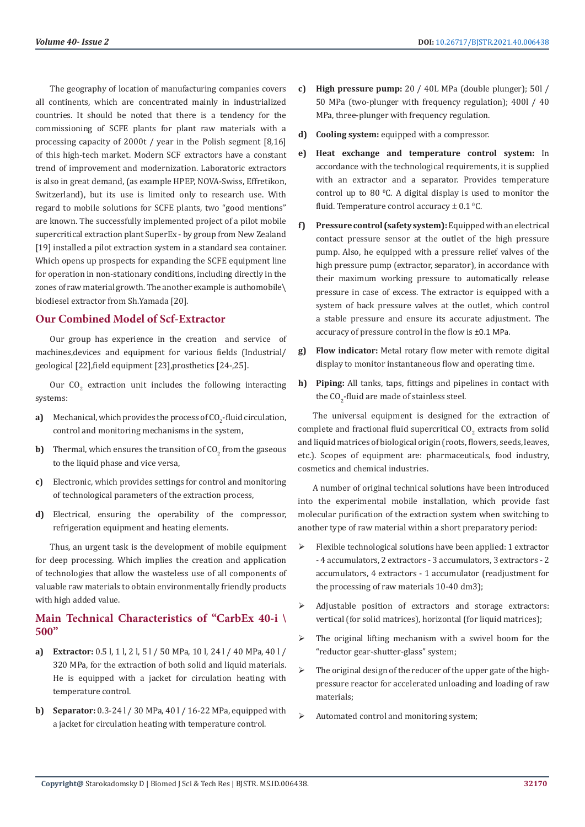The geography of location of manufacturing companies covers all continents, which are concentrated mainly in industrialized countries. It should be noted that there is a tendency for the commissioning of SCFE plants for plant raw materials with a processing capacity of 2000t / year in the Polish segment [8,16] of this high-tech market. Modern SCF extractors have a constant trend of improvement and modernization. Laboratoric extractors is also in great demand, (as example HPEP, NOVA-Swiss, Effretikon, Switzerland), but its use is limited only to research use. With regard to mobile solutions for SCFE plants, two "good mentions" are known. The successfully implemented project of a pilot mobile supercritical extraction plant SuperEx - by group from New Zealand [19] installed a pilot extraction system in a standard sea container. Which opens up prospects for expanding the SCFE equipment line for operation in non-stationary conditions, including directly in the zones of raw material growth. The another example is authomobile\ biodiesel extractor from Sh.Yamada [20].

#### **Our Combined Model of Scf-Extractor**

Our group has experience in the creation and service of machines,devices and equipment for various fields (Industrial/ geological [22],field equipment [23],prosthetics [24-,25].

Our  $CO<sub>2</sub>$  extraction unit includes the following interacting systems:

- **a)** Mechanical, which provides the process of  $CO_2$ -fluid circulation, control and monitoring mechanisms in the system,
- **b)** Thermal, which ensures the transition of  $CO_2$  from the gaseous to the liquid phase and vice versa,
- **c)** Electronic, which provides settings for control and monitoring of technological parameters of the extraction process,
- **d)** Electrical, ensuring the operability of the compressor, refrigeration equipment and heating elements.

Thus, an urgent task is the development of mobile equipment for deep processing. Which implies the creation and application of technologies that allow the wasteless use of all components of valuable raw materials to obtain environmentally friendly products with high added value.

# **Main Technical Characteristics of "CarbEx 40-i \ 500"**

- **a) Extractor:** 0.5 l, 1 l, 2 l, 5 l / 50 MPa, 10 l, 24 l / 40 MPa, 40 l / 320 MPa, for the extraction of both solid and liquid materials. He is equipped with a jacket for circulation heating with temperature control.
- **b) Separator:** 0.3-24 l / 30 MPa, 40 l / 16-22 MPa, equipped with a jacket for circulation heating with temperature control.
- **c) High pressure pump:** 20 / 40L MPa (double plunger); 50l / 50 MPa (two-plunger with frequency regulation); 400l / 40 MPa, three-plunger with frequency regulation.
- **d) Cooling system:** equipped with a compressor.
- **e) Heat exchange and temperature control system:** In accordance with the technological requirements, it is supplied with an extractor and a separator. Provides temperature control up to 80 $\degree$ C. A digital display is used to monitor the fluid. Temperature control accuracy  $\pm$  0.1 <sup>o</sup>C.
- **f) Pressure control (safety system):** Equipped with an electrical contact pressure sensor at the outlet of the high pressure pump. Also, he equipped with a pressure relief valves of the high pressure pump (extractor, separator), in accordance with their maximum working pressure to automatically release pressure in case of excess. The extractor is equipped with a system of back pressure valves at the outlet, which control a stable pressure and ensure its accurate adjustment. The accuracy of pressure control in the flow is ±0.1 MPa.
- **g) Flow indicator:** Metal rotary flow meter with remote digital display to monitor instantaneous flow and operating time.
- **h) Piping:** All tanks, taps, fittings and pipelines in contact with the  $CO<sub>2</sub>$ -fluid are made of stainless steel.

The universal equipment is designed for the extraction of complete and fractional fluid supercritical  $\mathsf{CO}_2$  extracts from solid and liquid matrices of biological origin (roots, flowers, seeds, leaves, etc.). Scopes of equipment are: pharmaceuticals, food industry, cosmetics and chemical industries.

A number of original technical solutions have been introduced into the experimental mobile installation, which provide fast molecular purification of the extraction system when switching to another type of raw material within a short preparatory period:

- $\triangleright$  Flexible technological solutions have been applied: 1 extractor - 4 accumulators, 2 extractors - 3 accumulators, 3 extractors - 2 accumulators, 4 extractors - 1 accumulator (readjustment for the processing of raw materials 10-40 dm3);
- Adjustable position of extractors and storage extractors: vertical (for solid matrices), horizontal (for liquid matrices);
- $\triangleright$  The original lifting mechanism with a swivel boom for the "reductor gear-shutter-glass" system;
- The original design of the reducer of the upper gate of the highpressure reactor for accelerated unloading and loading of raw materials;
- $\triangleright$  Automated control and monitoring system;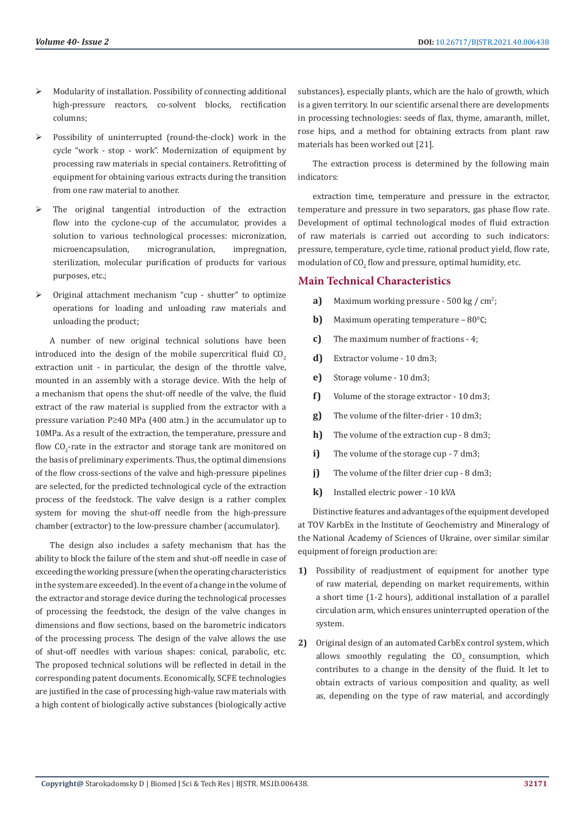- $\triangleright$  Modularity of installation. Possibility of connecting additional high-pressure reactors, co-solvent blocks, rectification columns;
- Possibility of uninterrupted (round-the-clock) work in the cycle "work - stop - work". Modernization of equipment by processing raw materials in special containers. Retrofitting of equipment for obtaining various extracts during the transition from one raw material to another.
- The original tangential introduction of the extraction flow into the cyclone-cup of the accumulator, provides a solution to various technological processes: micronization, microencapsulation, microgranulation, impregnation, sterilization, molecular purification of products for various purposes, etc.;
- Original attachment mechanism "cup shutter" to optimize operations for loading and unloading raw materials and unloading the product;

A number of new original technical solutions have been introduced into the design of the mobile supercritical fluid  $CO<sub>2</sub>$ extraction unit - in particular, the design of the throttle valve, mounted in an assembly with a storage device. With the help of a mechanism that opens the shut-off needle of the valve, the fluid extract of the raw material is supplied from the extractor with a pressure variation P≥40 MPa (400 atm.) in the accumulator up to 10MPa. As a result of the extraction, the temperature, pressure and flow  $\text{CO}_2$ -rate in the extractor and storage tank are monitored on the basis of preliminary experiments. Thus, the optimal dimensions of the flow cross-sections of the valve and high-pressure pipelines are selected, for the predicted technological cycle of the extraction process of the feedstock. The valve design is a rather complex system for moving the shut-off needle from the high-pressure chamber (extractor) to the low-pressure chamber (accumulator).

The design also includes a safety mechanism that has the ability to block the failure of the stem and shut-off needle in case of exceeding the working pressure (when the operating characteristics in the system are exceeded). In the event of a change in the volume of the extractor and storage device during the technological processes of processing the feedstock, the design of the valve changes in dimensions and flow sections, based on the barometric indicators of the processing process. The design of the valve allows the use of shut-off needles with various shapes: conical, parabolic, etc. The proposed technical solutions will be reflected in detail in the corresponding patent documents. Economically, SCFE technologies are justified in the case of processing high-value raw materials with a high content of biologically active substances (biologically active

substances), especially plants, which are the halo of growth, which is a given territory. In our scientific arsenal there are developments in processing technologies: seeds of flax, thyme, amaranth, millet, rose hips, and a method for obtaining extracts from plant raw materials has been worked out [21].

The extraction process is determined by the following main indicators:

extraction time, temperature and pressure in the extractor, temperature and pressure in two separators, gas phase flow rate. Development of optimal technological modes of fluid extraction of raw materials is carried out according to such indicators: pressure, temperature, cycle time, rational product yield, flow rate, modulation of  $CO<sub>2</sub>$  flow and pressure, optimal humidity, etc.

#### **Main Technical Characteristics**

- a) Maximum working pressure 500 kg / cm<sup>2</sup>;
- **b)** Maximum operating temperature  $-80^{\circ}$ C;
- **c)** The maximum number of fractions 4;
- **d)** Extractor volume 10 dm3;
- **e)** Storage volume 10 dm3;
- **f)** Volume of the storage extractor 10 dm3;
- **g)** The volume of the filter-drier 10 dm3;
- **h)** The volume of the extraction cup 8 dm3;
- **i)** The volume of the storage cup 7 dm3;
- **j)** The volume of the filter drier cup 8 dm3;
- **k)** Installed electric power 10 kVA

Distinctive features and advantages of the equipment developed at TOV KarbEx in the Institute of Geochemistry and Mineralogy of the National Academy of Sciences of Ukraine, over similar similar equipment of foreign production are:

- **1)** Possibility of readjustment of equipment for another type of raw material, depending on market requirements, within a short time (1-2 hours), additional installation of a parallel circulation arm, which ensures uninterrupted operation of the system.
- **2)** Original design of an automated CarbEx control system, which allows smoothly regulating the  $CO<sub>2</sub>$  consumption, which contributes to a change in the density of the fluid. It let to obtain extracts of various composition and quality, as well as, depending on the type of raw material, and accordingly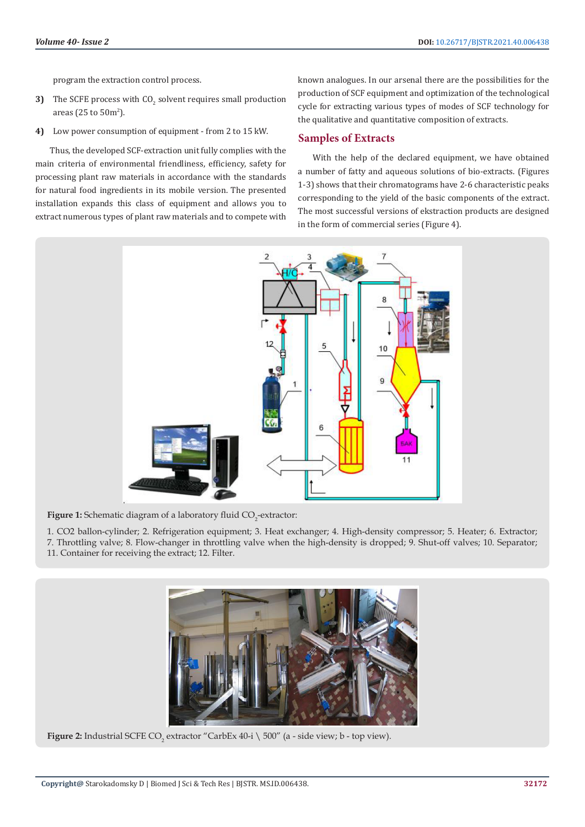program the extraction control process.

- **3)** The SCFE process with CO<sub>2</sub> solvent requires small production areas (25 to  $50<sup>m²</sup>$ ).
- **4)** Low power consumption of equipment from 2 to 15 kW.

Thus, the developed SCF-extraction unit fully complies with the main criteria of environmental friendliness, efficiency, safety for processing plant raw materials in accordance with the standards for natural food ingredients in its mobile version. The presented installation expands this class of equipment and allows you to extract numerous types of plant raw materials and to compete with

known analogues. In our arsenal there are the possibilities for the production of SCF equipment and optimization of the technological cycle for extracting various types of modes of SCF technology for the qualitative and quantitative composition of extracts.

#### **Samples of Extracts**

With the help of the declared equipment, we have obtained a number of fatty and aqueous solutions of bio-extracts. (Figures 1-3) shows that their chromatograms have 2-6 characteristic peaks corresponding to the yield of the basic components of the extract. The most successful versions of ekstraction products are designed in the form of commercial series (Figure 4).



**Figure 1:** Schematic diagram of a laboratory fluid CO<sub>2</sub>-extractor:

1. CO2 ballon-cylinder; 2. Refrigeration equipment; 3. Heat exchanger; 4. High-density compressor; 5. Heater; 6. Extractor; 7. Throttling valve; 8. Flow-changer in throttling valve when the high-density is dropped; 9. Shut-off valves; 10. Separator; 11. Container for receiving the extract; 12. Filter.



**Figure 2:** Industrial SCFE CO<sub>2</sub> extractor "CarbEx 40-i \ 500" (a - side view; b - top view).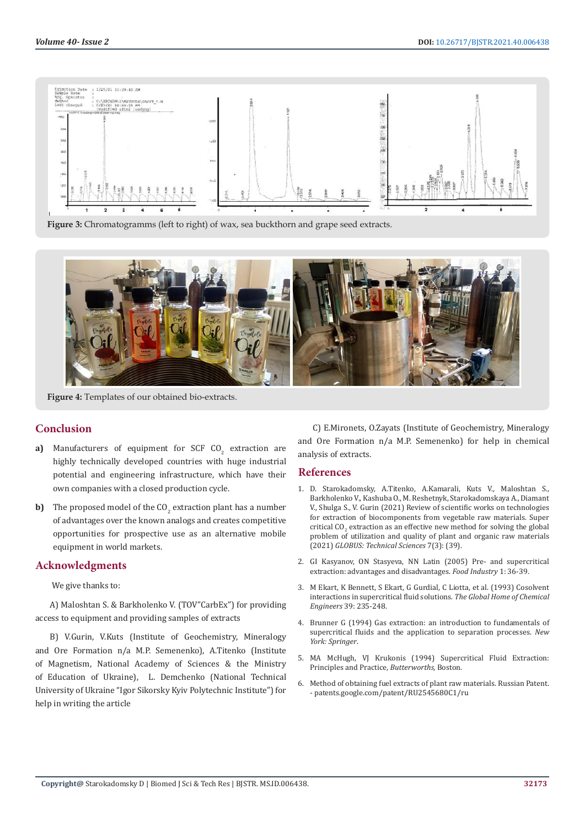

**Figure 3:** Chromatogramms (left to right) of wax, sea buckthorn and grape seed extracts.



**Figure 4:** Templates of our obtained bio-extracts.

## **Conclusion**

- **a)** Manufacturers of equipment for SCF CO<sub>2</sub> extraction are highly technically developed countries with huge industrial potential and engineering infrastructure, which have their own companies with a closed production cycle.
- **b)** The proposed model of the  $CO_2$  extraction plant has a number of advantages over the known analogs and creates competitive opportunities for prospective use as an alternative mobile equipment in world markets.

#### **Acknowledgments**

We give thanks to:

A) Maloshtan S. & Barkholenko V. (TOV"CarbEx") for providing access to equipment and providing samples of extracts

B) V.Gurin, V.Kuts (Institute of Geochemistry, Mineralogy and Ore Formation n/a M.P. Semenenko), A.Titenko (Institute of Magnetism, National Academy of Sciences & the Ministry of Education of Ukraine), L. Demchenko (National Technical University of Ukraine "Igor Sikorsky Kyiv Polytechnic Institute") for help in writing the article

C) E.Mironets, O.Zayats (Institute of Geochemistry, Mineralogy and Ore Formation n/a M.P. Semenenko) for help in chemical analysis of extracts.

#### **References**

- 1. [D. Starokadomsky, A.Titenko, A.Kamarali, Kuts V., Maloshtan S.,](https://tech.globus-science.ru/Archive/new/Technicheskie_nauki_august_2021.pdf.) [Barkholenko V., Kashuba O., M. Reshetnyk, Starokadomskaya A., Diamant](https://tech.globus-science.ru/Archive/new/Technicheskie_nauki_august_2021.pdf.) [V., Shulga S., V. Gurin \(2021\) Review of scientific works on technologies](https://tech.globus-science.ru/Archive/new/Technicheskie_nauki_august_2021.pdf.) [for extraction of biocomponents from vegetable raw materials. Super](https://tech.globus-science.ru/Archive/new/Technicheskie_nauki_august_2021.pdf.) critical  $CO<sub>2</sub>$  [extraction as an effective new method for solving the global](https://tech.globus-science.ru/Archive/new/Technicheskie_nauki_august_2021.pdf.) [problem of utilization and quality of plant and organic raw materials](https://tech.globus-science.ru/Archive/new/Technicheskie_nauki_august_2021.pdf.) (2021) *[GLOBUS: Technical Sciences](https://tech.globus-science.ru/Archive/new/Technicheskie_nauki_august_2021.pdf.)* 7(3): (39).
- 2. GI Kasyanov, ON Stasyeva, NN Latin (2005) Pre- and supercritical extraction: advantages and disadvantages. *Food Industry* 1: 36-39.
- 3. [M Ekart, K Bennett, S Ekart, G Gurdial, C Liotta, et al. \(1993\) Cosolvent](https://aiche.onlinelibrary.wiley.com/doi/10.1002/aic.690390206) [interactions in supercritical fluid solutions.](https://aiche.onlinelibrary.wiley.com/doi/10.1002/aic.690390206) *The Global Home of Chemical Engineers* [39: 235-248.](https://aiche.onlinelibrary.wiley.com/doi/10.1002/aic.690390206)
- 4. Brunner G (1994) Gas extraction: an introduction to fundamentals of supercritical fluids and the application to separation processes. *New York: Springer*.
- 5. MA McHugh, VJ Krukonis (1994) Supercritical Fluid Extraction: Principles and Practice, *Butterworths,* Boston.
- 6. Method of obtaining fuel extracts of plant raw materials. Russian Patent. - patents.google.com/patent/RU2545680C1/ru